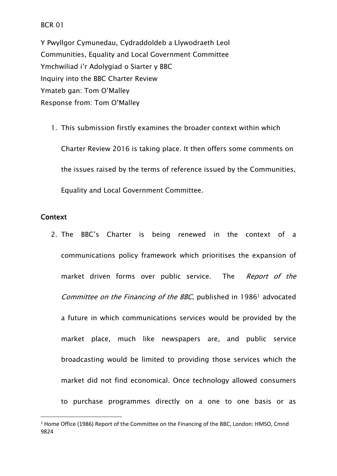#### BCR 01

Y Pwyllgor Cymunedau, Cydraddoldeb a Llywodraeth Leol Communities, Equality and Local Government Committee Ymchwiliad i'r Adolygiad o Siarter y BBC Inquiry into the BBC Charter Review Ymateb gan: Tom O'Malley Response from: Tom O'Malley

1. This submission firstly examines the broader context within which Charter Review 2016 is taking place. It then offers some comments on the issues raised by the terms of reference issued by the Communities, Equality and Local Government Committee.

### **Context**

2. The BBC's Charter is being renewed in the context of a communications policy framework which prioritises the expansion of market driven forms over public service. The *Report of the Committee on the Financing of the BBC*, published in 1986<sup>1</sup> advocated a future in which communications services would be provided by the market place, much like newspapers are, and public service broadcasting would be limited to providing those services which the market did not find economical. Once technology allowed consumers to purchase programmes directly on a one to one basis or as

<sup>1</sup> Home Office (1986) Report of the Committee on the Financing of the BBC, London: HMSO, Cmnd 9824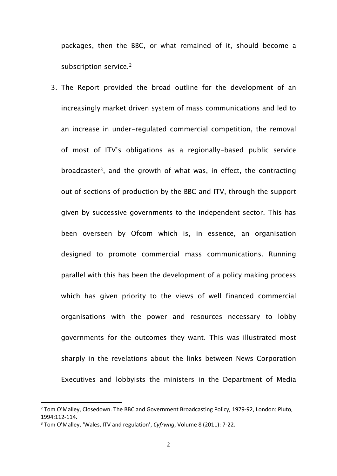packages, then the BBC, or what remained of it, should become a subscription service.<sup>2</sup>

3. The Report provided the broad outline for the development of an increasingly market driven system of mass communications and led to an increase in under-regulated commercial competition, the removal of most of ITV's obligations as a regionally-based public service broadcaster<sup>3</sup>, and the growth of what was, in effect, the contracting out of sections of production by the BBC and ITV, through the support given by successive governments to the independent sector. This has been overseen by Ofcom which is, in essence, an organisation designed to promote commercial mass communications. Running parallel with this has been the development of a policy making process which has given priority to the views of well financed commercial organisations with the power and resources necessary to lobby governments for the outcomes they want. This was illustrated most sharply in the revelations about the links between News Corporation Executives and lobbyists the ministers in the Department of Media

<sup>&</sup>lt;sup>2</sup> Tom O'Malley, Closedown. The BBC and Government Broadcasting Policy, 1979-92, London: Pluto, 1994:112-114.

<sup>3</sup> Tom O'Malley, 'Wales, ITV and regulation', *Cyfrwng*, Volume 8 (2011): 7-22.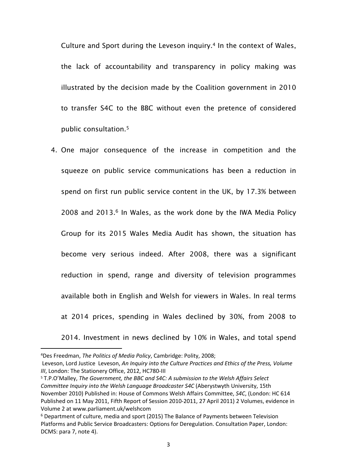Culture and Sport during the Leveson inquiry.<sup>4</sup> In the context of Wales, the lack of accountability and transparency in policy making was illustrated by the decision made by the Coalition government in 2010 to transfer S4C to the BBC without even the pretence of considered public consultation.<sup>5</sup>

4. One major consequence of the increase in competition and the squeeze on public service communications has been a reduction in spend on first run public service content in the UK, by 17.3% between 2008 and 2013.<sup>6</sup> In Wales, as the work done by the IWA Media Policy Group for its 2015 Wales Media Audit has shown, the situation has become very serious indeed. After 2008, there was a significant reduction in spend, range and diversity of television programmes available both in English and Welsh for viewers in Wales. In real terms at 2014 prices, spending in Wales declined by 30%, from 2008 to 2014. Investment in news declined by 10% in Wales, and total spend

<sup>4</sup>Des Freedman, *The Politics of Media Policy*, Cambridge: Polity, 2008;

Leveson, Lord Justice Leveson, *An Inquiry into the Culture Practices and Ethics of the Press, Volume III*, London: The Stationery Office, 2012, HC780-III

<sup>5</sup> T.P.O'Malley, *The Government, the BBC and S4C: A submission to the Welsh Affairs Select Committee Inquiry into the Welsh Language Broadcaster S4C* (Aberystwyth University, 15th November 2010) Published in: House of Commons Welsh Affairs Committee, *S4C*, (London: HC 614 Published on 11 May 2011, Fifth Report of Session 2010-2011, 27 April 2011) 2 Volumes, evidence in Volume 2 at www.parliament.uk/welshcom

<sup>6</sup> Department of culture, media and sport (2015) The Balance of Payments between Television Platforms and Public Service Broadcasters: Options for Deregulation. Consultation Paper, London: DCMS: para 7, note 4).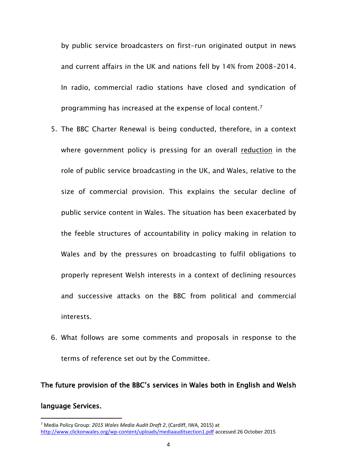by public service broadcasters on first-run originated output in news and current affairs in the UK and nations fell by 14% from 2008-2014. In radio, commercial radio stations have closed and syndication of programming has increased at the expense of local content.<sup>7</sup>

- 5. The BBC Charter Renewal is being conducted, therefore, in a context where government policy is pressing for an overall reduction in the role of public service broadcasting in the UK, and Wales, relative to the size of commercial provision. This explains the secular decline of public service content in Wales. The situation has been exacerbated by the feeble structures of accountability in policy making in relation to Wales and by the pressures on broadcasting to fulfil obligations to properly represent Welsh interests in a context of declining resources and successive attacks on the BBC from political and commercial interests.
- 6. What follows are some comments and proposals in response to the terms of reference set out by the Committee.

# **The future provision of the BBC's services in Wales both in English and Welsh language Services.**

<sup>7</sup> Media Policy Group: *2015 Wales Media Audit Draft 2*, (Cardiff, IWA, 2015) at <http://www.clickonwales.org/wp-content/uploads/mediaauditsection1.pdf> accessed 26 October 2015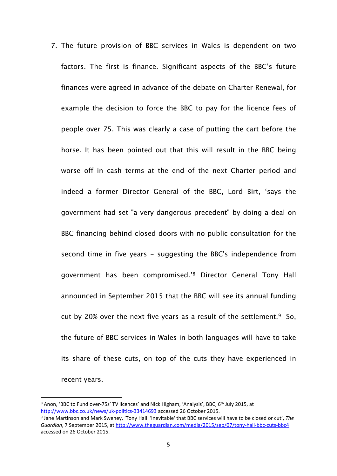7. The future provision of BBC services in Wales is dependent on two factors. The first is finance. Significant aspects of the BBC's future finances were agreed in advance of the debate on Charter Renewal, for example the decision to force the BBC to pay for the licence fees of people over 75. This was clearly a case of putting the cart before the horse. It has been pointed out that this will result in the BBC being worse off in cash terms at the end of the next Charter period and indeed a former Director General of the BBC, Lord Birt, 'says the government had set "a very dangerous precedent" by doing a deal on BBC financing behind closed doors with no public consultation for the second time in five years - suggesting the BBC's independence from government has been compromised.'<sup>8</sup> Director General Tony Hall announced in September 2015 that the BBC will see its annual funding cut by 20% over the next five years as a result of the settlement. $9$  So, the future of BBC services in Wales in both languages will have to take its share of these cuts, on top of the cuts they have experienced in recent years.

<sup>&</sup>lt;sup>8</sup> Anon, 'BBC to Fund over-75s' TV licences' and Nick Higham, 'Analysis', BBC, 6<sup>th</sup> July 2015, at <http://www.bbc.co.uk/news/uk-politics-33414693> accessed 26 October 2015.

<sup>9</sup> Jane Martinson and Mark Sweney, 'Tony Hall: 'inevitable' that BBC services will have to be closed or cut', *The Guardian*, 7 September 2015, at <http://www.theguardian.com/media/2015/sep/07/tony-hall-bbc-cuts-bbc4> accessed on 26 October 2015.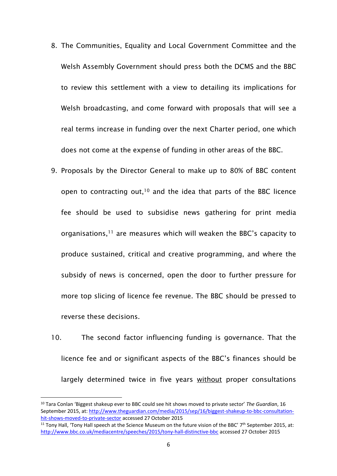- 8. The Communities, Equality and Local Government Committee and the Welsh Assembly Government should press both the DCMS and the BBC to review this settlement with a view to detailing its implications for Welsh broadcasting, and come forward with proposals that will see a real terms increase in funding over the next Charter period, one which does not come at the expense of funding in other areas of the BBC.
- 9. Proposals by the Director General to make up to 80% of BBC content open to contracting out,<sup>10</sup> and the idea that parts of the BBC licence fee should be used to subsidise news gathering for print media organisations, $11$  are measures which will weaken the BBC's capacity to produce sustained, critical and creative programming, and where the subsidy of news is concerned, open the door to further pressure for more top slicing of licence fee revenue. The BBC should be pressed to reverse these decisions.
- 10. The second factor influencing funding is governance. That the licence fee and or significant aspects of the BBC's finances should be largely determined twice in five years without proper consultations

<sup>10</sup> Tara Conlan 'Biggest shakeup ever to BBC could see hit shows moved to private sector' *The Guardian*, 16 September 2015, at: [http://www.theguardian.com/media/2015/sep/16/biggest-shakeup-to-bbc-consultation](http://www.theguardian.com/media/2015/sep/16/biggest-shakeup-to-bbc-consultation-hit-shows-moved-to-private-sector)[hit-shows-moved-to-private-sector](http://www.theguardian.com/media/2015/sep/16/biggest-shakeup-to-bbc-consultation-hit-shows-moved-to-private-sector) accessed 27 October 2015

<sup>&</sup>lt;sup>11</sup> Tony Hall, 'Tony Hall speech at the Science Museum on the future vision of the BBC' 7<sup>th</sup> September 2015, at: <http://www.bbc.co.uk/mediacentre/speeches/2015/tony-hall-distinctive-bbc> accessed 27 October 2015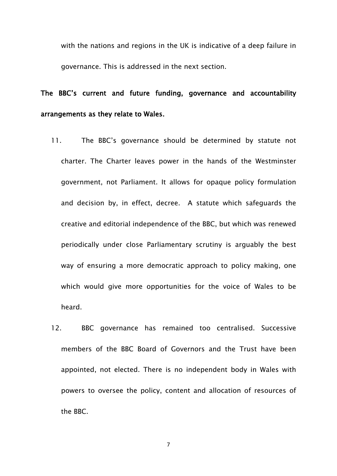with the nations and regions in the UK is indicative of a deep failure in governance. This is addressed in the next section.

# **The BBC's current and future funding, governance and accountability arrangements as they relate to Wales.**

- 11. The BBC's governance should be determined by statute not charter. The Charter leaves power in the hands of the Westminster government, not Parliament. It allows for opaque policy formulation and decision by, in effect, decree. A statute which safeguards the creative and editorial independence of the BBC, but which was renewed periodically under close Parliamentary scrutiny is arguably the best way of ensuring a more democratic approach to policy making, one which would give more opportunities for the voice of Wales to be heard.
- 12. BBC governance has remained too centralised. Successive members of the BBC Board of Governors and the Trust have been appointed, not elected. There is no independent body in Wales with powers to oversee the policy, content and allocation of resources of the BBC.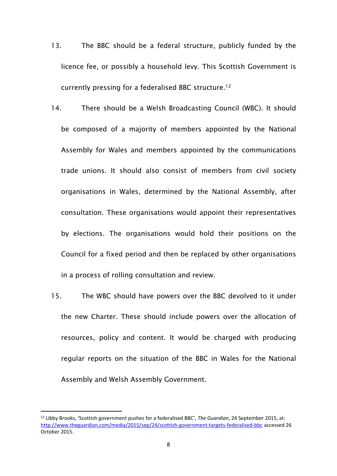- 13. The BBC should be a federal structure, publicly funded by the licence fee, or possibly a household levy. This Scottish Government is currently pressing for a federalised BBC structure.<sup>12</sup>
- 14. There should be a Welsh Broadcasting Council (WBC). It should be composed of a majority of members appointed by the National Assembly for Wales and members appointed by the communications trade unions. It should also consist of members from civil society organisations in Wales, determined by the National Assembly, after consultation. These organisations would appoint their representatives by elections. The organisations would hold their positions on the Council for a fixed period and then be replaced by other organisations in a process of rolling consultation and review.
- 15. The WBC should have powers over the BBC devolved to it under the new Charter. These should include powers over the allocation of resources, policy and content. It would be charged with producing regular reports on the situation of the BBC in Wales for the National Assembly and Welsh Assembly Government.

<sup>12</sup> Libby Brooks, 'Scottish government pushes for a federalised BBC', *The Guardian*, 24 September 2015, at: <http://www.theguardian.com/media/2015/sep/24/scottish-government-targets-federalised-bbc> accessed 26 October 2015.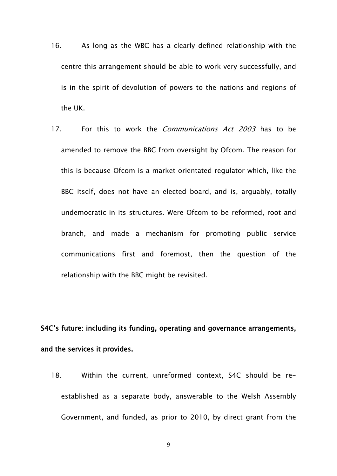- 16. As long as the WBC has a clearly defined relationship with the centre this arrangement should be able to work very successfully, and is in the spirit of devolution of powers to the nations and regions of the UK.
- 17. For this to work the *Communications Act 2003* has to be amended to remove the BBC from oversight by Ofcom. The reason for this is because Ofcom is a market orientated regulator which, like the BBC itself, does not have an elected board, and is, arguably, totally undemocratic in its structures. Were Ofcom to be reformed, root and branch, and made a mechanism for promoting public service communications first and foremost, then the question of the relationship with the BBC might be revisited.

### **S4C's future: including its funding, operating and governance arrangements, and the services it provides.**

18. Within the current, unreformed context, S4C should be reestablished as a separate body, answerable to the Welsh Assembly Government, and funded, as prior to 2010, by direct grant from the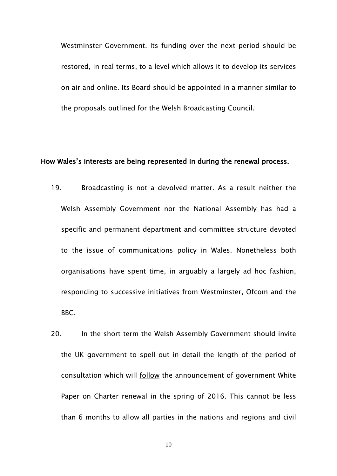Westminster Government. Its funding over the next period should be restored, in real terms, to a level which allows it to develop its services on air and online. Its Board should be appointed in a manner similar to the proposals outlined for the Welsh Broadcasting Council.

#### **How Wales's interests are being represented in during the renewal process.**

- 19. Broadcasting is not a devolved matter. As a result neither the Welsh Assembly Government nor the National Assembly has had a specific and permanent department and committee structure devoted to the issue of communications policy in Wales. Nonetheless both organisations have spent time, in arguably a largely ad hoc fashion, responding to successive initiatives from Westminster, Ofcom and the BBC.
- 20. In the short term the Welsh Assembly Government should invite the UK government to spell out in detail the length of the period of consultation which will follow the announcement of government White Paper on Charter renewal in the spring of 2016. This cannot be less than 6 months to allow all parties in the nations and regions and civil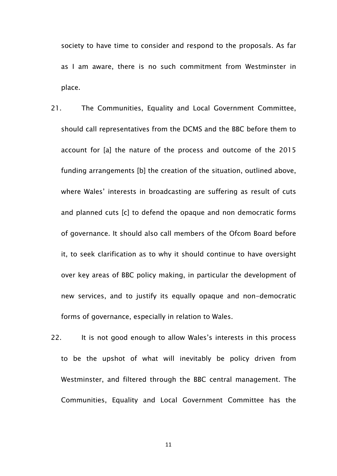society to have time to consider and respond to the proposals. As far as I am aware, there is no such commitment from Westminster in place.

- 21. The Communities, Equality and Local Government Committee, should call representatives from the DCMS and the BBC before them to account for [a] the nature of the process and outcome of the 2015 funding arrangements [b] the creation of the situation, outlined above, where Wales' interests in broadcasting are suffering as result of cuts and planned cuts [c] to defend the opaque and non democratic forms of governance. It should also call members of the Ofcom Board before it, to seek clarification as to why it should continue to have oversight over key areas of BBC policy making, in particular the development of new services, and to justify its equally opaque and non-democratic forms of governance, especially in relation to Wales.
- 22. It is not good enough to allow Wales's interests in this process to be the upshot of what will inevitably be policy driven from Westminster, and filtered through the BBC central management. The Communities, Equality and Local Government Committee has the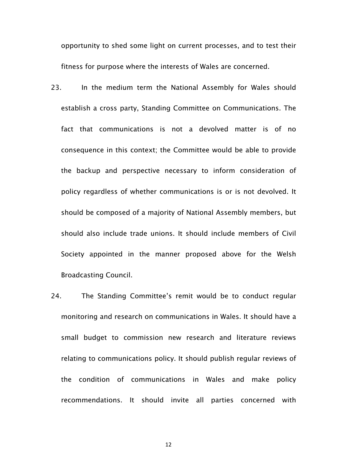opportunity to shed some light on current processes, and to test their fitness for purpose where the interests of Wales are concerned.

- 23. In the medium term the National Assembly for Wales should establish a cross party, Standing Committee on Communications. The fact that communications is not a devolved matter is of no consequence in this context; the Committee would be able to provide the backup and perspective necessary to inform consideration of policy regardless of whether communications is or is not devolved. It should be composed of a majority of National Assembly members, but should also include trade unions. It should include members of Civil Society appointed in the manner proposed above for the Welsh Broadcasting Council.
- 24. The Standing Committee's remit would be to conduct regular monitoring and research on communications in Wales. It should have a small budget to commission new research and literature reviews relating to communications policy. It should publish regular reviews of the condition of communications in Wales and make policy recommendations. It should invite all parties concerned with